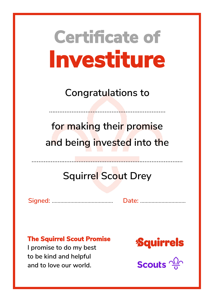**Congratulations to**

……………………………………………….…………

**for making their promise and being invested into the**

## **Squirrel Scout Drey**

……………………………………...……………………………………

**Signed:** ……………...……………………. **Date:** …………………....…….

#### **The Squirrel Scout Promise**

**I promise to do my best to be kind and helpful and to love our world.**

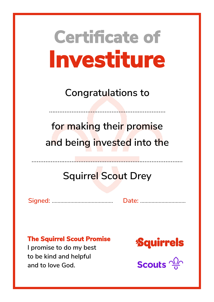**Congratulations to**

……………………………………………….…………

**for making their promise and being invested into the**

## **Squirrel Scout Drey**

……………………………………...……………………………………

**Signed:** ……………...……………………. **Date:** …………………....…….

#### **The Squirrel Scout Promise**

**I promise to do my best to be kind and helpful and to love God.**

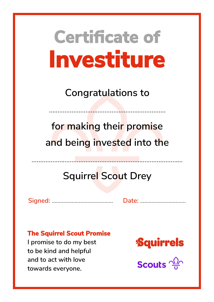**Congratulations to**

……………………………………………….…………

**for making their promise and being invested into the**

## **Squirrel Scout Drey**

……………………………………...……………………………………

**Signed:** ……………...……………………. **Date:** …………………....…….

#### **The Squirrel Scout Promise**

**I promise to do my best to be kind and helpful and to act with love towards everyone.**

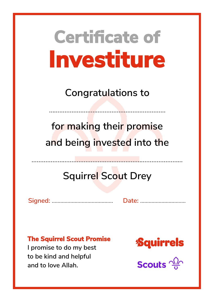**Congratulations to**

……………………………………………….…………

**for making their promise and being invested into the**

## **Squirrel Scout Drey**

……………………………………...……………………………………

**Signed:** ……………...……………………. **Date:** …………………....…….

#### **The Squirrel Scout Promise**

**I promise to do my best to be kind and helpful and to love Allah.**

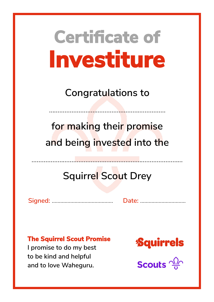**Congratulations to**

……………………………………………….…………

**for making their promise and being invested into the**

## **Squirrel Scout Drey**

……………………………………...……………………………………

**Signed:** ……………...……………………. **Date:** …………………....…….

#### **The Squirrel Scout Promise**

**I promise to do my best to be kind and helpful and to love Waheguru.**